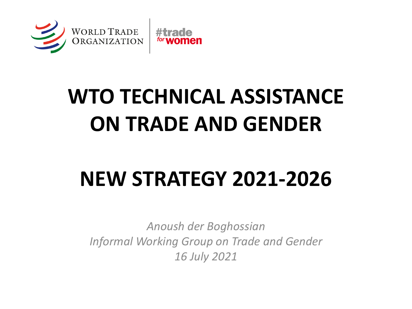

# **WTO TECHNICAL ASSISTANCE ON TRADE AND GENDER**

# **NEW STRATEGY 2021-2026**

*Anoush der Boghossian Informal Working Group on Trade and Gender 16 July 2021*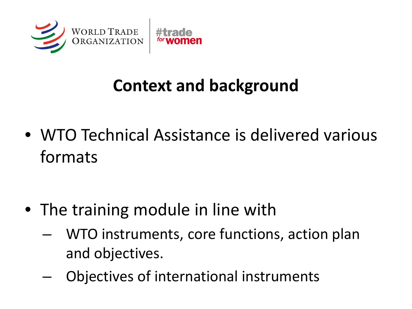

### **Context and background**

• WTO Technical Assistance is delivered various formats

- The training module in line with
	- WTO instruments, core functions, action plan and objectives.
	- Objectives of international instruments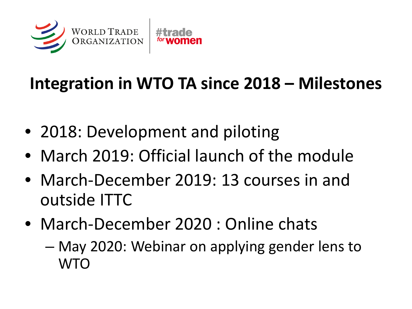

### **Integration in WTO TA since 2018 – Milestones**

- 2018: Development and piloting
- March 2019: Official launch of the module
- March-December 2019: 13 courses in and outside ITTC
- March-December 2020 : Online chats
	- May 2020: Webinar on applying gender lens to **WTO**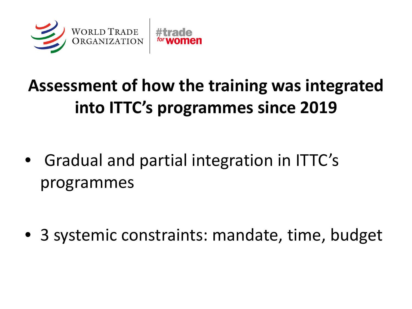

## **Assessment of how the training was integrated into ITTC's programmes since 2019**

• Gradual and partial integration in ITTC's programmes

• 3 systemic constraints: mandate, time, budget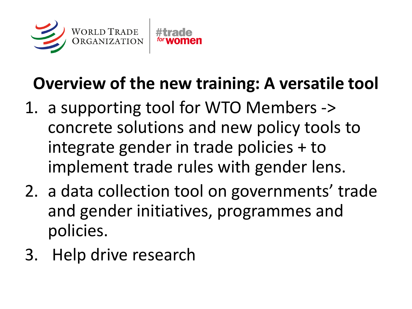

## **Overview of the new training: A versatile tool**

- 1. a supporting tool for WTO Members -> concrete solutions and new policy tools to integrate gender in trade policies + to implement trade rules with gender lens.
- 2. a data collection tool on governments' trade and gender initiatives, programmes and policies.
- 3. Help drive research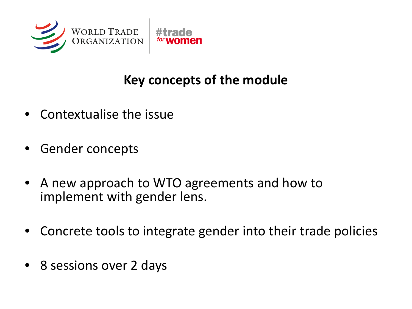

#### **Key concepts of the module**

- Contextualise the issue
- Gender concepts
- A new approach to WTO agreements and how to implement with gender lens.
- Concrete tools to integrate gender into their trade policies
- 8 sessions over 2 days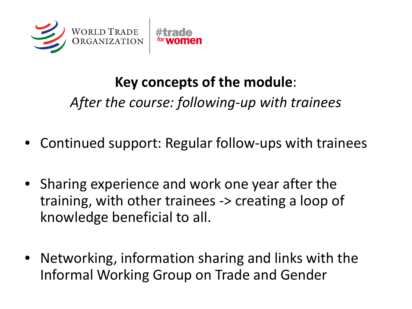

#### **Key concepts of the module**:

*After the course: following-up with trainees*

- Continued support: Regular follow-ups with trainees
- Sharing experience and work one year after the training, with other trainees -> creating a loop of knowledge beneficial to all.
- Networking, information sharing and links with the Informal Working Group on Trade and Gender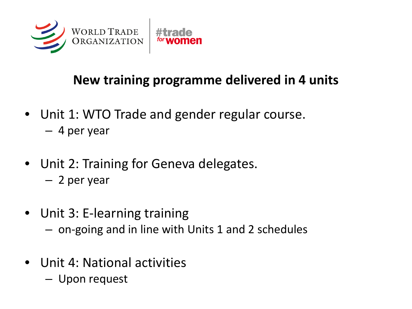

#### **New training programme delivered in 4 units**

- Unit 1: WTO Trade and gender regular course. – 4 per year
- Unit 2: Training for Geneva delegates.
	- 2 per year
- Unit 3: E-learning training
	- on-going and in line with Units 1 and 2 schedules
- Unit 4: National activities
	- Upon request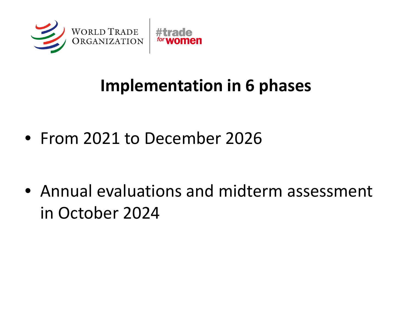

### **Implementation in 6 phases**

• From 2021 to December 2026

• Annual evaluations and midterm assessment in October 2024